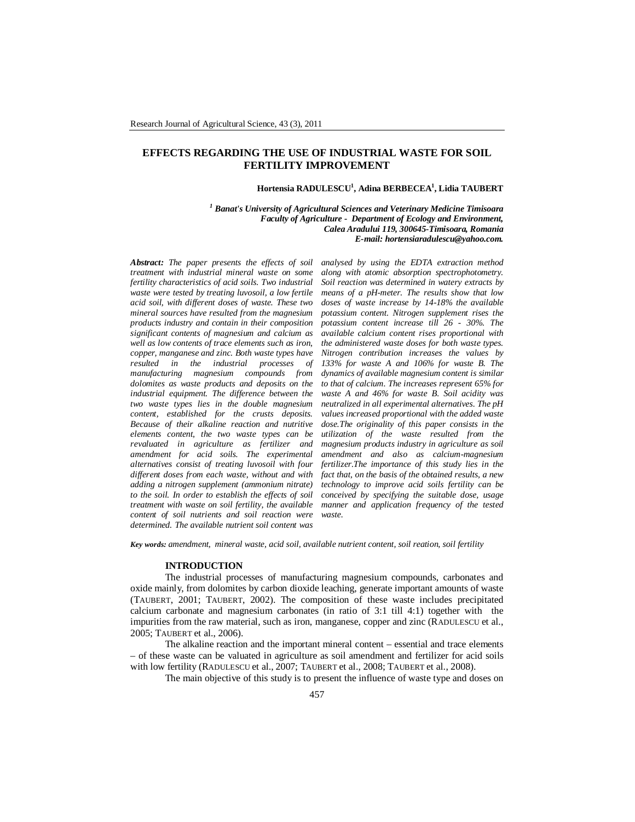# **EFFECTS REGARDING THE USE OF INDUSTRIAL WASTE FOR SOIL FERTILITY IMPROVEMENT**

### **Hortensia RADULESCU<sup>1</sup> , Adina BERBECEA<sup>1</sup> , Lidia TAUBERT**

*<sup>1</sup> Banat's University of Agricultural Sciences and Veterinary Medicine Timisoara Faculty of Agriculture - Department of Ecology and Environment, Calea Aradului 119, 300645-Timisoara, Romania E-mail: hortensiaradulescu@yahoo.com.*

*Abstract: The paper presents the effects of soil treatment with industrial mineral waste on some fertility characteristics of acid soils. Two industrial waste were tested by treating luvosoil, a low fertile acid soil, with different doses of waste. These two mineral sources have resulted from the magnesium products industry and contain in their composition significant contents of magnesium and calcium as well as low contents of trace elements such as iron, copper, manganese and zinc. Both waste types have resulted in the industrial processes of manufacturing magnesium compounds from dolomites as waste products and deposits on the industrial equipment. The difference between the two waste types lies in the double magnesium content, established for the crusts deposits. Because of their alkaline reaction and nutritive elements content, the two waste types can be revaluated in agriculture as fertilizer and amendment for acid soils. The experimental alternatives consist of treating luvosoil with four different doses from each waste, without and with adding a nitrogen supplement (ammonium nitrate) to the soil. In order to establish the effects of soil treatment with waste on soil fertility, the available content of soil nutrients and soil reaction were determined. The available nutrient soil content was* 

*analysed by using the EDTA extraction method along with atomic absorption spectrophotometry. Soil reaction was determined in watery extracts by means of a pH-meter. The results show that low doses of waste increase by 14-18% the available potassium content. Nitrogen supplement rises the potassium content increase till 26 - 30%. The available calcium content rises proportional with the administered waste doses for both waste types. Nitrogen contribution increases the values by 133% for waste A and 106% for waste B. The dynamics of available magnesium content is similar to that of calcium. The increases represent 65% for waste A and 46% for waste B. Soil acidity was neutralized in all experimental alternatives. The pH values increased proportional with the added waste dose.The originality of this paper consists in the utilization of the waste resulted from the magnesium products industry in agriculture as soil amendment and also as calcium-magnesium fertilizer.The importance of this study lies in the fact that, on the basis of the obtained results, a new technology to improve acid soils fertility can be conceived by specifying the suitable dose, usage manner and application frequency of the tested waste.*

*Key words: amendment, mineral waste, acid soil, available nutrient content, soil reation, soil fertility*

### **INTRODUCTION**

The industrial processes of manufacturing magnesium compounds, carbonates and oxide mainly, from dolomites by carbon dioxide leaching, generate important amounts of waste (TAUBERT, 2001; TAUBERT, 2002). The composition of these waste includes precipitated calcium carbonate and magnesium carbonates (in ratio of 3:1 till 4:1) together with the impurities from the raw material, such as iron, manganese, copper and zinc (RADULESCU et al., 2005; TAUBERT et al., 2006).

The alkaline reaction and the important mineral content – essential and trace elements – of these waste can be valuated in agriculture as soil amendment and fertilizer for acid soils with low fertility (RADULESCU et al., 2007; TAUBERT et al., 2008; TAUBERT et al., 2008).

The main objective of this study is to present the influence of waste type and doses on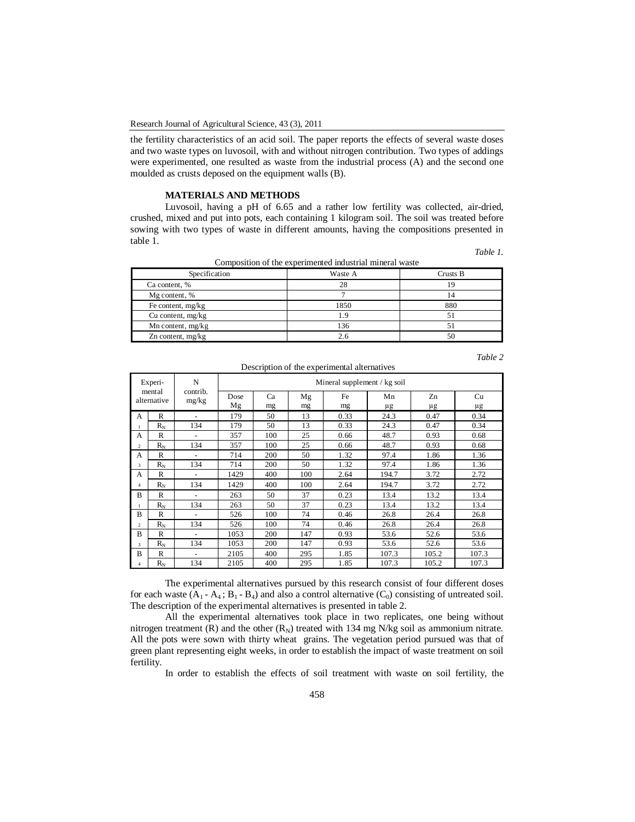the fertility characteristics of an acid soil. The paper reports the effects of several waste doses and two waste types on luvosoil, with and without nitrogen contribution. Two types of addings were experimented, one resulted as waste from the industrial process (A) and the second one moulded as crusts deposed on the equipment walls (B).

## **MATERIALS AND METHODS**

Luvosoil, having a pH of 6.65 and a rather low fertility was collected, air-dried, crushed, mixed and put into pots, each containing 1 kilogram soil. The soil was treated before sowing with two types of waste in different amounts, having the compositions presented in table 1.

|  | Table 1. |
|--|----------|
|  |          |

| Composition of the experimented industrial mineral waste<br>Specification<br>Crusts B<br>Waste A |      |     |  |  |  |  |  |  |
|--------------------------------------------------------------------------------------------------|------|-----|--|--|--|--|--|--|
|                                                                                                  |      |     |  |  |  |  |  |  |
| Ca content, %                                                                                    | 28   | 19  |  |  |  |  |  |  |
| Mg content, %                                                                                    |      | 14  |  |  |  |  |  |  |
| Fe content, mg/kg                                                                                | 1850 | 880 |  |  |  |  |  |  |
| Cu content, $mg/kg$                                                                              | 1.9  |     |  |  |  |  |  |  |
| Mn content, $mg/kg$                                                                              | 136  | 51  |  |  |  |  |  |  |
| $Zn$ content, mg/kg                                                                              | 2.6  | 50  |  |  |  |  |  |  |

| ant |  |  |
|-----|--|--|
|     |  |  |

|                | Experi-               | N                 | Mineral supplement / kg soil |     |     |      |       |       |       |  |  |
|----------------|-----------------------|-------------------|------------------------------|-----|-----|------|-------|-------|-------|--|--|
|                | mental<br>alternative | contrib.<br>mg/kg | Dose                         | Ca  | Mg  | Fe   | Mn    | Zn    | Cu    |  |  |
|                |                       |                   | Mg                           | mg  | mg  | mg   | μg    | μg    | μg    |  |  |
| A              | R                     |                   | 179                          | 50  | 13  | 0.33 | 24.3  | 0.47  | 0.34  |  |  |
|                | $R_N$                 | 134               | 179                          | 50  | 13  | 0.33 | 24.3  | 0.47  | 0.34  |  |  |
| A              | R                     |                   | 357                          | 100 | 25  | 0.66 | 48.7  | 0.93  | 0.68  |  |  |
| $\mathfrak{D}$ | $R_N$                 | 134               | 357                          | 100 | 25  | 0.66 | 48.7  | 0.93  | 0.68  |  |  |
| A              | R                     |                   | 714                          | 200 | 50  | 1.32 | 97.4  | 1.86  | 1.36  |  |  |
| 3              | $R_N$                 | 134               | 714                          | 200 | 50  | 1.32 | 97.4  | 1.86  | 1.36  |  |  |
| A              | $\mathbb{R}$          |                   | 1429                         | 400 | 100 | 2.64 | 194.7 | 3.72  | 2.72  |  |  |
| 4              | $R_N$                 | 134               | 1429                         | 400 | 100 | 2.64 | 194.7 | 3.72  | 2.72  |  |  |
| B              | $\mathbb{R}$          | $\overline{a}$    | 263                          | 50  | 37  | 0.23 | 13.4  | 13.2  | 13.4  |  |  |
|                | $R_N$                 | 134               | 263                          | 50  | 37  | 0.23 | 13.4  | 13.2  | 13.4  |  |  |
| B              | $\mathbb{R}$          |                   | 526                          | 100 | 74  | 0.46 | 26.8  | 26.4  | 26.8  |  |  |
| $\mathfrak{D}$ | $R_{\rm N}$           | 134               | 526                          | 100 | 74  | 0.46 | 26.8  | 26.4  | 26.8  |  |  |
| B              | $\mathsf{R}$          | ٠                 | 1053                         | 200 | 147 | 0.93 | 53.6  | 52.6  | 53.6  |  |  |
| 3              | $R_N$                 | 134               | 1053                         | 200 | 147 | 0.93 | 53.6  | 52.6  | 53.6  |  |  |
| B              | R                     |                   | 2105                         | 400 | 295 | 1.85 | 107.3 | 105.2 | 107.3 |  |  |
| 4              | $R_{N}$               | 134               | 2105                         | 400 | 295 | 1.85 | 107.3 | 105.2 | 107.3 |  |  |

#### Description of the experimental alternatives

The experimental alternatives pursued by this research consist of four different doses for each waste  $(A_1 - A_4; B_1 - B_4)$  and also a control alternative  $(C_0)$  consisting of untreated soil. The description of the experimental alternatives is presented in table 2.

All the experimental alternatives took place in two replicates, one being without nitrogen treatment  $(R)$  and the other  $(R_N)$  treated with 134 mg N/kg soil as ammonium nitrate. All the pots were sown with thirty wheat grains. The vegetation period pursued was that of green plant representing eight weeks, in order to establish the impact of waste treatment on soil fertility.

In order to establish the effects of soil treatment with waste on soil fertility, the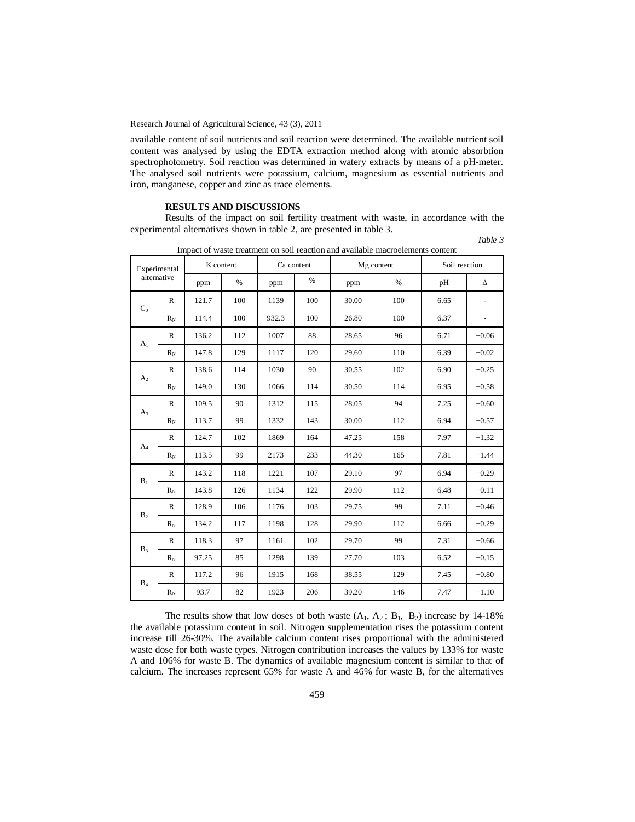available content of soil nutrients and soil reaction were determined. The available nutrient soil content was analysed by using the EDTA extraction method along with atomic absorbtion spectrophotometry. Soil reaction was determined in watery extracts by means of a pH-meter. The analysed soil nutrients were potassium, calcium, magnesium as essential nutrients and iron, manganese, copper and zinc as trace elements.

# **RESULTS AND DISCUSSIONS**

Results of the impact on soil fertility treatment with waste, in accordance with the experimental alternatives shown in table 2, are presented in table 3.

| Table 3<br>. |
|--------------|
|              |

| Experimental<br>alternative |              | K content |      | Ca content |      | Mg content |      | Soil reaction |         |
|-----------------------------|--------------|-----------|------|------------|------|------------|------|---------------|---------|
|                             |              | ppm       | $\%$ | ppm        | $\%$ | ppm        | $\%$ | pH            | Δ       |
| $C_0$                       | $\mathbb{R}$ | 121.7     | 100  | 1139       | 100  | 30.00      | 100  | 6.65          |         |
|                             | $R_N$        | 114.4     | 100  | 932.3      | 100  | 26.80      | 100  | 6.37          |         |
| A <sub>1</sub>              | $\mathbb{R}$ | 136.2     | 112  | 1007       | 88   | 28.65      | 96   | 6.71          | $+0.06$ |
|                             | $R_{\rm N}$  | 147.8     | 129  | 1117       | 120  | 29.60      | 110  | 6.39          | $+0.02$ |
| A <sub>2</sub>              | $\mathbb{R}$ | 138.6     | 114  | 1030       | 90   | 30.55      | 102  | 6.90          | $+0.25$ |
|                             | $R_N$        | 149.0     | 130  | 1066       | 114  | 30.50      | 114  | 6.95          | $+0.58$ |
|                             | $\mathbb{R}$ | 109.5     | 90   | 1312       | 115  | 28.05      | 94   | 7.25          | $+0.60$ |
| $A_3$                       | $R_{\rm N}$  | 113.7     | 99   | 1332       | 143  | 30.00      | 112  | 6.94          | $+0.57$ |
|                             | R            | 124.7     | 102  | 1869       | 164  | 47.25      | 158  | 7.97          | $+1.32$ |
| $A_4$                       | $R_N$        | 113.5     | 99   | 2173       | 233  | 44.30      | 165  | 7.81          | $+1.44$ |
| $B_1$                       | $\mathbb{R}$ | 143.2     | 118  | 1221       | 107  | 29.10      | 97   | 6.94          | $+0.29$ |
|                             | $R_N$        | 143.8     | 126  | 1134       | 122  | 29.90      | 112  | 6.48          | $+0.11$ |
| B <sub>2</sub>              | R            | 128.9     | 106  | 1176       | 103  | 29.75      | 99   | 7.11          | $+0.46$ |
|                             | $R_N$        | 134.2     | 117  | 1198       | 128  | 29.90      | 112  | 6.66          | $+0.29$ |
| $B_3$                       | $\mathbb{R}$ | 118.3     | 97   | 1161       | 102  | 29.70      | 99   | 7.31          | $+0.66$ |
|                             | $R_N$        | 97.25     | 85   | 1298       | 139  | 27.70      | 103  | 6.52          | $+0.15$ |
| $B_4$                       | R            | 117.2     | 96   | 1915       | 168  | 38.55      | 129  | 7.45          | $+0.80$ |
|                             | $R_{\rm N}$  | 93.7      | 82   | 1923       | 206  | 39.20      | 146  | 7.47          | $+1.10$ |

Impact of waste treatment on soil reaction and available macroelements content

The results show that low doses of both waste  $(A_1, A_2; B_1, B_2)$  increase by 14-18% the available potassium content in soil. Nitrogen supplementation rises the potassium content increase till 26-30%. The available calcium content rises proportional with the administered waste dose for both waste types. Nitrogen contribution increases the values by 133% for waste A and 106% for waste B. The dynamics of available magnesium content is similar to that of calcium. The increases represent 65% for waste A and 46% for waste B, for the alternatives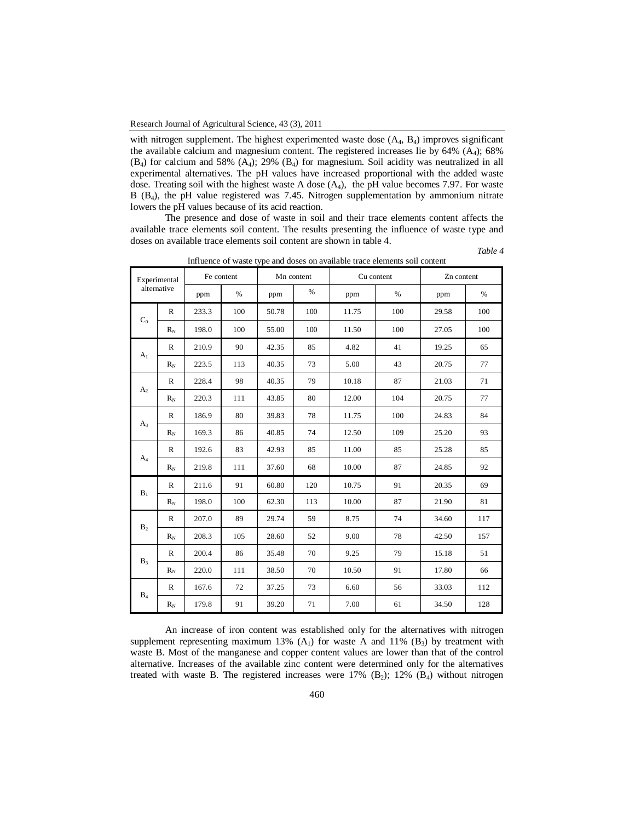with nitrogen supplement. The highest experimented waste dose  $(A_4, B_4)$  improves significant the available calcium and magnesium content. The registered increases lie by  $64\%$  (A<sub>4</sub>); 68% (B4) for calcium and 58% (A4); 29% (B4) for magnesium. Soil acidity was neutralized in all experimental alternatives. The pH values have increased proportional with the added waste dose. Treating soil with the highest waste A dose  $(A<sub>4</sub>)$ , the pH value becomes 7.97. For waste B (B<sub>4</sub>), the pH value registered was 7.45. Nitrogen supplementation by ammonium nitrate lowers the pH values because of its acid reaction.

The presence and dose of waste in soil and their trace elements content affects the available trace elements soil content. The results presenting the influence of waste type and doses on available trace elements soil content are shown in table 4.

 *Table 4* 

| Experimental<br>alternative |              | Fe content |               | Mn content |      | Cu content |      | Zn content |      |
|-----------------------------|--------------|------------|---------------|------------|------|------------|------|------------|------|
|                             |              | ppm        | $\frac{0}{0}$ | ppm        | $\%$ | ppm        | $\%$ | ppm        | $\%$ |
| $C_0$                       | $\mathbb{R}$ | 233.3      | 100           | 50.78      | 100  | 11.75      | 100  | 29.58      | 100  |
|                             | $R_N$        | 198.0      | 100           | 55.00      | 100  | 11.50      | 100  | 27.05      | 100  |
| A <sub>1</sub>              | $\mathbb{R}$ | 210.9      | 90            | 42.35      | 85   | 4.82       | 41   | 19.25      | 65   |
|                             | $R_N$        | 223.5      | 113           | 40.35      | 73   | 5.00       | 43   | 20.75      | 77   |
| A <sub>2</sub>              | $\mathbb{R}$ | 228.4      | 98            | 40.35      | 79   | 10.18      | 87   | 21.03      | 71   |
|                             | $R_N$        | 220.3      | 111           | 43.85      | 80   | 12.00      | 104  | 20.75      | 77   |
|                             | $\mathbb{R}$ | 186.9      | 80            | 39.83      | 78   | 11.75      | 100  | 24.83      | 84   |
| $A_3$                       | $R_N$        | 169.3      | 86            | 40.85      | 74   | 12.50      | 109  | 25.20      | 93   |
|                             | $\mathbb{R}$ | 192.6      | 83            | 42.93      | 85   | 11.00      | 85   | 25.28      | 85   |
| $A_4$                       | $R_N$        | 219.8      | 111           | 37.60      | 68   | 10.00      | 87   | 24.85      | 92   |
| $B_1$                       | $\mathbb{R}$ | 211.6      | 91            | 60.80      | 120  | 10.75      | 91   | 20.35      | 69   |
|                             | $R_N$        | 198.0      | 100           | 62.30      | 113  | 10.00      | 87   | 21.90      | 81   |
| B <sub>2</sub>              | $\mathbb{R}$ | 207.0      | 89            | 29.74      | 59   | 8.75       | 74   | 34.60      | 117  |
|                             | $\rm R_N$    | 208.3      | 105           | 28.60      | 52   | 9.00       | 78   | 42.50      | 157  |
|                             | $\mathbb{R}$ | 200.4      | 86            | 35.48      | 70   | 9.25       | 79   | 15.18      | 51   |
| $B_3$                       | $R_N$        | 220.0      | 111           | 38.50      | 70   | 10.50      | 91   | 17.80      | 66   |
| $B_4$                       | $\mathbb{R}$ | 167.6      | 72            | 37.25      | 73   | 6.60       | 56   | 33.03      | 112  |
|                             | $R_N$        | 179.8      | 91            | 39.20      | 71   | 7.00       | 61   | 34.50      | 128  |

Influence of waste type and doses on available trace elements soil content

An increase of iron content was established only for the alternatives with nitrogen supplement representing maximum 13%  $(A<sub>1</sub>)$  for waste A and 11%  $(B<sub>3</sub>)$  by treatment with waste B. Most of the manganese and copper content values are lower than that of the control alternative. Increases of the available zinc content were determined only for the alternatives treated with waste B. The registered increases were  $17\%$  (B<sub>2</sub>);  $12\%$  (B<sub>4</sub>) without nitrogen